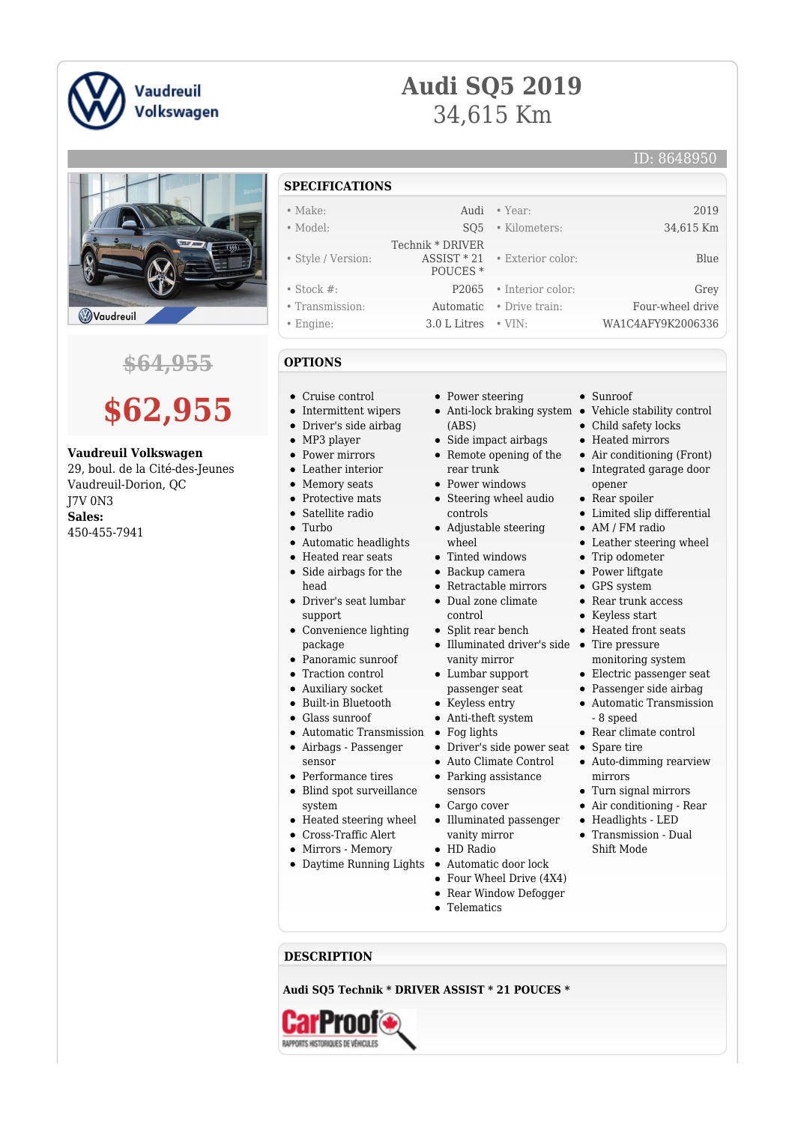

## **Audi SQ5 2019** 34,615 Km

 Technik \* DRIVER ASSIST \* 21 POUCES \*



## **\$64,955**

## **\$62,955**

## **Vaudreuil Volkswagen**

29, boul. de la Cité-des-Jeunes Vaudreuil-Dorion, QC J7V 0N3 **Sales:** 450-455-7941

- **SPECIFICATIONS**
- Make: 2019 **Audi Year:** 2019
- Model: SQ5 Kilometers: 34,615 Km
- Style / Version:
- Stock #: P2065 Interior color: Grey
- Transmission: Automatic Drive train: Four-wheel drive
- Engine: 3.0 L Litres VIN: WA1C4AFY9K2006336
- **OPTIONS**
- Cruise control
- Intermittent wipers
- Driver's side airbag  $\bullet$
- MP3 player  $\bullet$
- Power mirrors  $\blacksquare$
- Leather interior  $\bullet$
- $\bullet$ Memory seats
- $\bullet$ Protective mats
- $\bullet$ Satellite radio
- Turbo
- Automatic headlights
- Heated rear seats Side airbags for the
- head Driver's seat lumbar
- support
- Convenience lighting package
- Panoramic sunroof
- Traction control
- Auxiliary socket
- Built-in Bluetooth
- Glass sunroof
- $\bullet\,$  Automatic Transmission  $\,$   $\bullet\,$
- Airbags Passenger
- sensor
- Performance tires Blind spot surveillance
	- system
- $\bullet$ Heated steering wheel
- Cross-Traffic Alert
- Mirrors Memory
- Daytime Running Lights Automatic door lock
- Power steering
- (ABS)
- Side impact airbags
- Remote opening of the rear trunk
- Power windows
- Steering wheel audio controls
- Adjustable steering wheel
- Tinted windows
- Backup camera
- Retractable mirrors Dual zone climate
- control
- Split rear bench
- Illuminated driver's side Tire pressure vanity mirror
- Lumbar support passenger seat
- Keyless entry
- Anti-theft system
- Fog lights
- Driver's side power seat Spare tire
- Auto Climate Control
- Parking assistance sensors
- Cargo cover
- Illuminated passenger vanity mirror
- HD Radio
- 
- Four Wheel Drive (4X4)
- Rear Window Defogger
- Telematics

**DESCRIPTION**

**Audi SQ5 Technik \* DRIVER ASSIST \* 21 POUCES \***



- Sunroof
- Anti-lock braking system Vehicle stability control
	- Child safety locks

• Exterior color: Blue

- Heated mirrors
- Air conditioning (Front)
- Integrated garage door opener
- Rear spoiler
- Limited slip differential
- AM / FM radio
- Leather steering wheel
- Trip odometer
- Power liftgate GPS system
- Rear trunk access
- Keyless start
- Heated front seats
- 
- monitoring system
- Electric passenger seat
- Passenger side airbag
- Automatic Transmission - 8 speed
- $\bullet~$  Rear climate control
- 
- Auto-dimming rearview mirrors
- Turn signal mirrors

Headlights - LED Transmission - Dual Shift Mode

Air conditioning - Rear